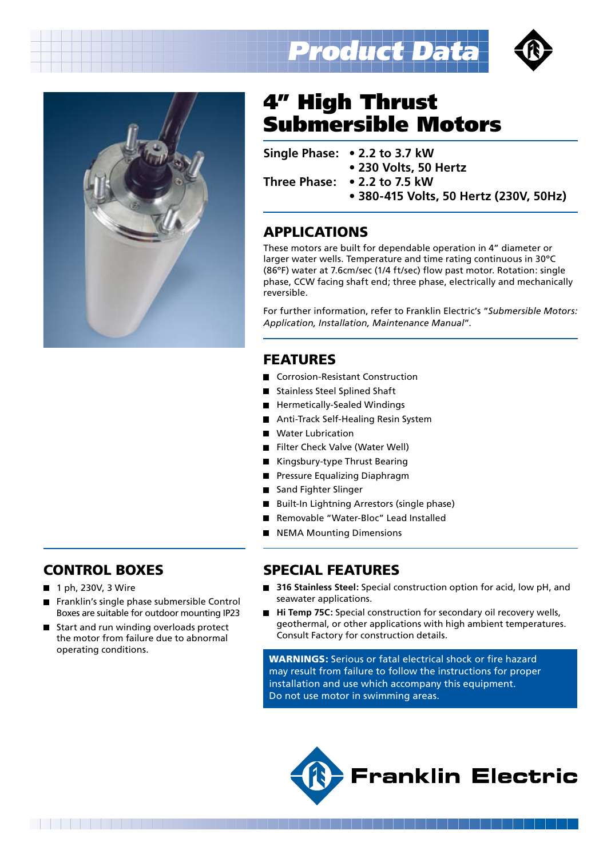



## 4" High Thrust Submersible Motors

**Single Phase: • 2.2 to 3.7 kW**

**• 230 Volts, 50 Hertz**

**Three Phase: • 2.2 to 7.5 kW**

**• 380-415 Volts, 50 Hertz (230V, 50Hz)**

## APPLICATIONS

These motors are built for dependable operation in 4" diameter or larger water wells. Temperature and time rating continuous in 30ºC (86ºF) water at 7.6cm/sec (1/4 ft/sec) flow past motor. Rotation: single phase, CCW facing shaft end; three phase, electrically and mechanically reversible.

For further information, refer to Franklin Electric's "*Submersible Motors: Application, Installation, Maintenance Manual*".

## FEATURES

- Corrosion-Resistant Construction
- Stainless Steel Splined Shaft
- Hermetically-Sealed Windings
- Anti-Track Self-Healing Resin System
- Water Lubrication
- Filter Check Valve (Water Well)
- Kingsbury-type Thrust Bearing
- **Pressure Equalizing Diaphragm**
- Sand Fighter Slinger
- Built-In Lightning Arrestors (single phase)
- Removable "Water-Bloc" Lead Installed
- NEMA Mounting Dimensions

### Control Boxes

■ 1 ph, 230V, 3 Wire

- Franklin's single phase submersible Control  $\blacksquare$ Boxes are suitable for outdoor mounting IP23
- Start and run winding overloads protect  $\blacksquare$ the motor from failure due to abnormal operating conditions.

## SPECIAL FEATURES

- 316 Stainless Steel: Special construction option for acid, low pH, and seawater applications.
- **Hi Temp 75C:** Special construction for secondary oil recovery wells,  $\blacksquare$ geothermal, or other applications with high ambient temperatures. Consult Factory for construction details.

WARNINGS: Serious or fatal electrical shock or fire hazard may result from failure to follow the instructions for proper installation and use which accompany this equipment. Do not use motor in swimming areas.